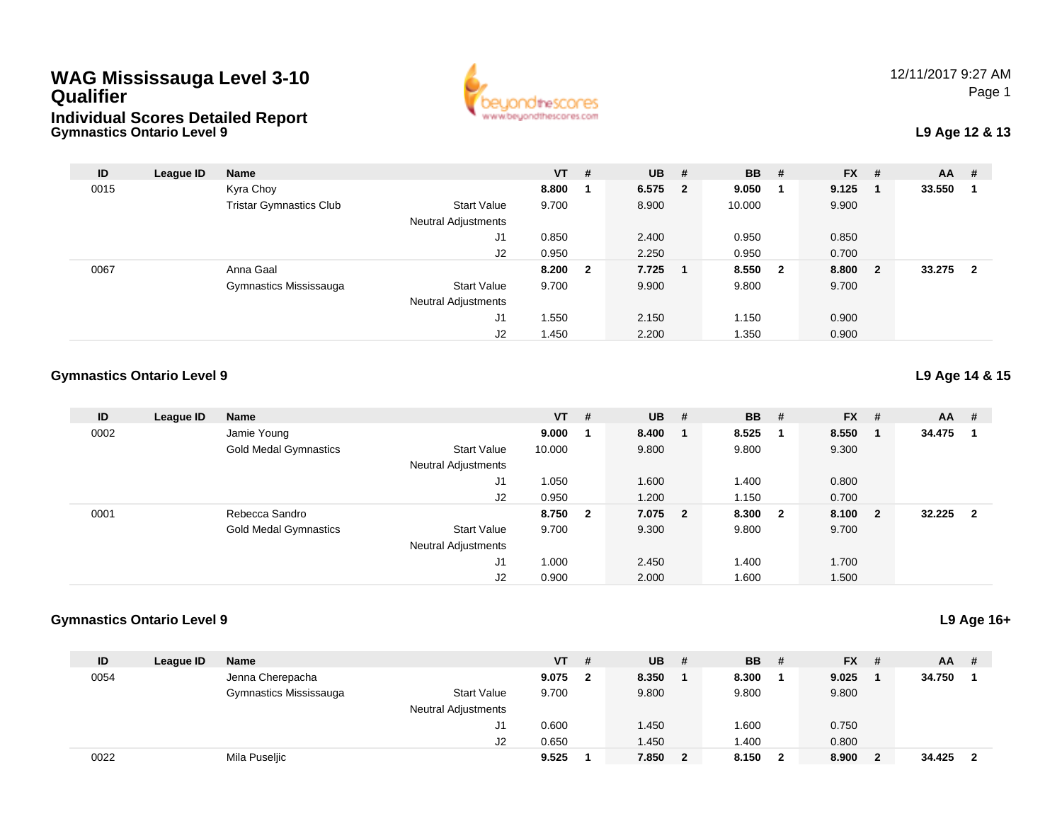# **WAG Mississauga Level 3-10 QualifierIndividual Scores Detailed Report**



# **L9 Age 12 & 13**

| ID   | League ID | <b>Name</b>                    |                            | $VT$ # |                | $UB$ #    | <b>BB</b> | # | <b>FX</b> | - # | $AA$ # |                         |
|------|-----------|--------------------------------|----------------------------|--------|----------------|-----------|-----------|---|-----------|-----|--------|-------------------------|
| 0015 |           | Kyra Choy                      |                            | 8.800  |                | 6.575 2   | 9.050     |   | 9.125     |     | 33.550 |                         |
|      |           | <b>Tristar Gymnastics Club</b> | <b>Start Value</b>         | 9.700  |                | 8.900     | 10.000    |   | 9.900     |     |        |                         |
|      |           |                                | Neutral Adjustments        |        |                |           |           |   |           |     |        |                         |
|      |           |                                | J1                         | 0.850  |                | 2.400     | 0.950     |   | 0.850     |     |        |                         |
|      |           |                                | J2                         | 0.950  |                | 2.250     | 0.950     |   | 0.700     |     |        |                         |
| 0067 |           | Anna Gaal                      |                            | 8.200  | $\overline{2}$ | $7.725$ 1 | 8.550 2   |   | 8.800     | - 2 | 33.275 | $\overline{\mathbf{2}}$ |
|      |           | Gymnastics Mississauga         | <b>Start Value</b>         | 9.700  |                | 9.900     | 9.800     |   | 9.700     |     |        |                         |
|      |           |                                | <b>Neutral Adjustments</b> |        |                |           |           |   |           |     |        |                         |
|      |           |                                | J1                         | 1.550  |                | 2.150     | 1.150     |   | 0.900     |     |        |                         |
|      |           |                                | J <sub>2</sub>             | 1.450  |                | 2.200     | 1.350     |   | 0.900     |     |        |                         |

#### **Gymnastics Ontario Level 9**

**Gymnastics Ontario Level 9**

| ID   | League ID | <b>Name</b>                  |                            | $VT$ # |                         | $UB$ #  | <b>BB</b> | - #                     | <b>FX</b> | - #                     | AA     | #                       |
|------|-----------|------------------------------|----------------------------|--------|-------------------------|---------|-----------|-------------------------|-----------|-------------------------|--------|-------------------------|
| 0002 |           | Jamie Young                  |                            | 9.000  |                         | 8.400   | 8.525     |                         | 8.550     | - 1                     | 34.475 |                         |
|      |           | <b>Gold Medal Gymnastics</b> | <b>Start Value</b>         | 10.000 |                         | 9.800   | 9.800     |                         | 9.300     |                         |        |                         |
|      |           |                              | Neutral Adjustments        |        |                         |         |           |                         |           |                         |        |                         |
|      |           |                              | J1                         | 1.050  |                         | 1.600   | 1.400     |                         | 0.800     |                         |        |                         |
|      |           |                              | J2                         | 0.950  |                         | 1.200   | 1.150     |                         | 0.700     |                         |        |                         |
| 0001 |           | Rebecca Sandro               |                            | 8.750  | $\overline{\mathbf{2}}$ | 7.075 2 | 8.300     | $\overline{\mathbf{2}}$ | 8.100     | $\overline{\mathbf{2}}$ | 32.225 | $\overline{\mathbf{2}}$ |
|      |           | <b>Gold Medal Gymnastics</b> | <b>Start Value</b>         | 9.700  |                         | 9.300   | 9.800     |                         | 9.700     |                         |        |                         |
|      |           |                              | <b>Neutral Adjustments</b> |        |                         |         |           |                         |           |                         |        |                         |
|      |           |                              | J1                         | 1.000  |                         | 2.450   | 1.400     |                         | 1.700     |                         |        |                         |
|      |           |                              | J2                         | 0.900  |                         | 2.000   | 1.600     |                         | 1.500     |                         |        |                         |

#### **Gymnastics Ontario Level 9**

| ID   | League ID | Name                   |                            | $VT$ # |              | <b>UB</b> | -#           | <b>BB</b> # |              | $FX$ # | $AA$ # |                         |
|------|-----------|------------------------|----------------------------|--------|--------------|-----------|--------------|-------------|--------------|--------|--------|-------------------------|
| 0054 |           | Jenna Cherepacha       |                            | 9.075  | $\mathbf{2}$ | 8.350     |              | 8.300       |              | 9.025  | 34.750 |                         |
|      |           | Gymnastics Mississauga | <b>Start Value</b>         | 9.700  |              | 9.800     |              | 9.800       |              | 9.800  |        |                         |
|      |           |                        | <b>Neutral Adjustments</b> |        |              |           |              |             |              |        |        |                         |
|      |           |                        | J1.                        | 0.600  |              | .450      |              | .600        |              | 0.750  |        |                         |
|      |           |                        | J <sub>2</sub>             | 0.650  |              | ، 450     |              | .400        |              | 0.800  |        |                         |
| 0022 |           | Mila Puseljic          |                            | 9.525  |              | 7.850     | $\mathbf{2}$ | 8.150       | $\mathbf{2}$ | 8.900  | 34.425 | $\overline{\mathbf{2}}$ |

## **L9 Age 14 & 15**

## **L9 Age 16+**